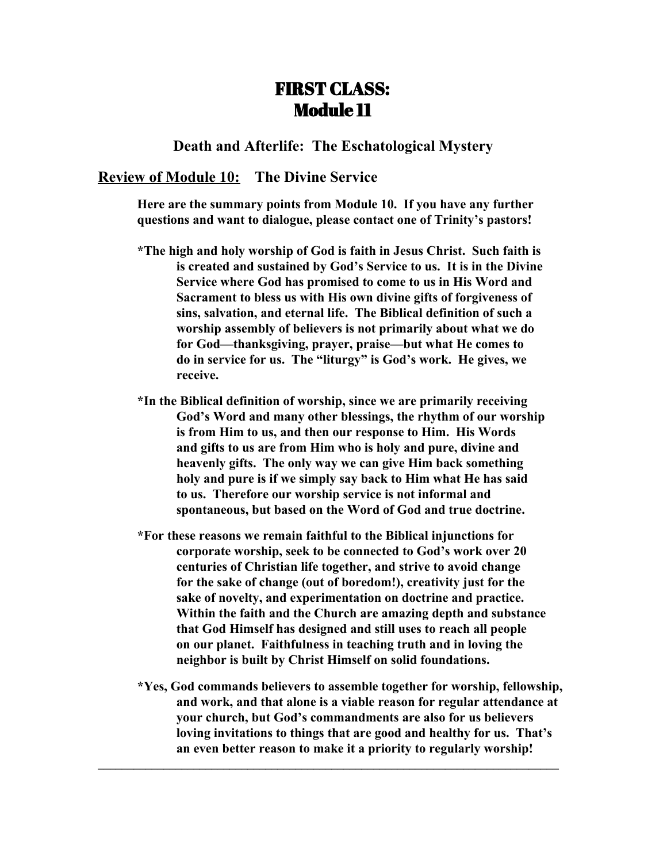# FIRST CLASS: Module 11

# **Death and Afterlife: The Eschatological Mystery**

## **Review of Module 10: The Divine Service**

**Here are the summary points from Module 10. If you have any further questions and want to dialogue, please contact one of Trinity's pastors!**

- **\*The high and holy worship of God is faith in Jesus Christ. Such faith is is created and sustained by God's Service to us. It is in the Divine Service where God has promised to come to us in His Word and Sacrament to bless us with His own divine gifts of forgiveness of sins, salvation, and eternal life. The Biblical definition of such a worship assembly of believers is not primarily about what we do for God—thanksgiving, prayer, praise—but what He comes to do in service for us. The "liturgy" is God's work. He gives, we receive.**
- **\*In the Biblical definition of worship, since we are primarily receiving God's Word and many other blessings, the rhythm of our worship is from Him to us, and then our response to Him. His Words and gifts to us are from Him who is holy and pure, divine and heavenly gifts. The only way we can give Him back something holy and pure is if we simply say back to Him what He has said to us. Therefore our worship service is not informal and spontaneous, but based on the Word of God and true doctrine.**
- **\*For these reasons we remain faithful to the Biblical injunctions for corporate worship, seek to be connected to God's work over 20 centuries of Christian life together, and strive to avoid change for the sake of change (out of boredom!), creativity just for the sake of novelty, and experimentation on doctrine and practice. Within the faith and the Church are amazing depth and substance that God Himself has designed and still uses to reach all people on our planet. Faithfulness in teaching truth and in loving the neighbor is built by Christ Himself on solid foundations.**
- **\*Yes, God commands believers to assemble together for worship, fellowship, and work, and that alone is a viable reason for regular attendance at your church, but God's commandments are also for us believers loving invitations to things that are good and healthy for us. That's an even better reason to make it a priority to regularly worship!**

**\_\_\_\_\_\_\_\_\_\_\_\_\_\_\_\_\_\_\_\_\_\_\_\_\_\_\_\_\_\_\_\_\_\_\_\_\_\_\_\_\_\_\_\_\_\_\_\_\_\_\_\_\_\_\_\_\_\_\_\_\_\_\_\_\_\_\_\_\_\_\_\_\_\_\_\_\_**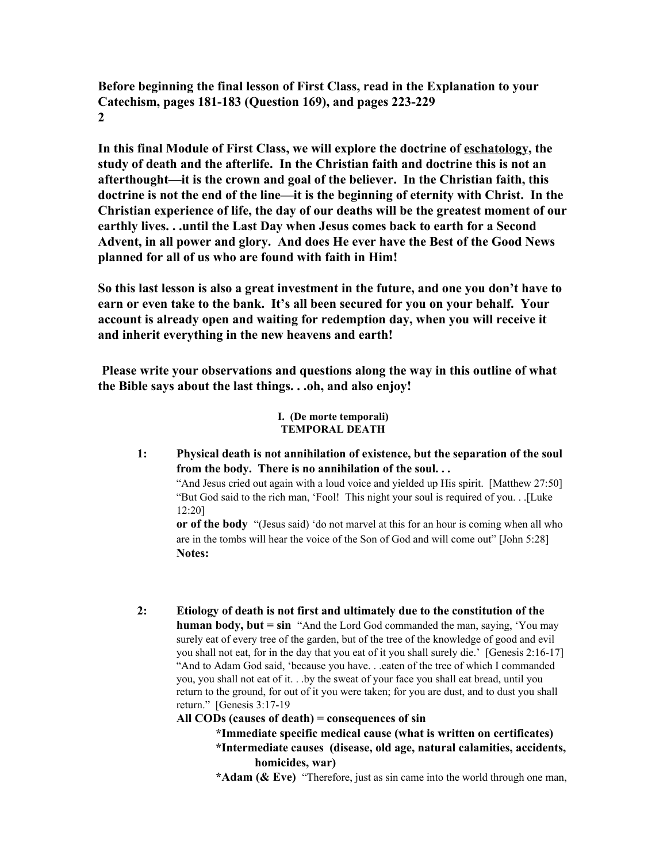**Before beginning the final lesson of First Class, read in the Explanation to your Catechism, pages 181-183 (Question 169), and pages 223-229 2**

**In this final Module of First Class, we will explore the doctrine of eschatology, the study of death and the afterlife. In the Christian faith and doctrine this is not an afterthought—it is the crown and goal of the believer. In the Christian faith, this doctrine is not the end of the line—it is the beginning of eternity with Christ. In the Christian experience of life, the day of our deaths will be the greatest moment of our earthly lives. . .until the Last Day when Jesus comes back to earth for a Second Advent, in all power and glory. And does He ever have the Best of the Good News planned for all of us who are found with faith in Him!**

**So this last lesson is also a great investment in the future, and one you don't have to earn or even take to the bank. It's all been secured for you on your behalf. Your account is already open and waiting for redemption day, when you will receive it and inherit everything in the new heavens and earth!**

**Please write your observations and questions along the way in this outline of what the Bible says about the last things. . .oh, and also enjoy!**

#### **I. (De morte temporali) TEMPORAL DEATH**

**1: Physical death is not annihilation of existence, but the separation of the soul from the body. There is no annihilation of the soul. . .**

"And Jesus cried out again with a loud voice and yielded up His spirit. [Matthew 27:50] "But God said to the rich man, 'Fool! This night your soul is required of you. . .[Luke 12:20]

**or of the body** "(Jesus said) 'do not marvel at this for an hour is coming when all who are in the tombs will hear the voice of the Son of God and will come out" [John 5:28] **Notes:**

**2: Etiology of death is not first and ultimately due to the constitution of the human body, but = sin** "And the Lord God commanded the man, saying, 'You may surely eat of every tree of the garden, but of the tree of the knowledge of good and evil you shall not eat, for in the day that you eat of it you shall surely die.' [Genesis 2:16-17] "And to Adam God said, 'because you have. . .eaten of the tree of which I commanded you, you shall not eat of it. . .by the sweat of your face you shall eat bread, until you return to the ground, for out of it you were taken; for you are dust, and to dust you shall return." [Genesis 3:17-19

## **All CODs (causes of death) = consequences of sin**

**\*Immediate specific medical cause (what is written on certificates) \*Intermediate causes (disease, old age, natural calamities, accidents, homicides, war)**

**\*Adam (& Eve)** "Therefore, just as sin came into the world through one man,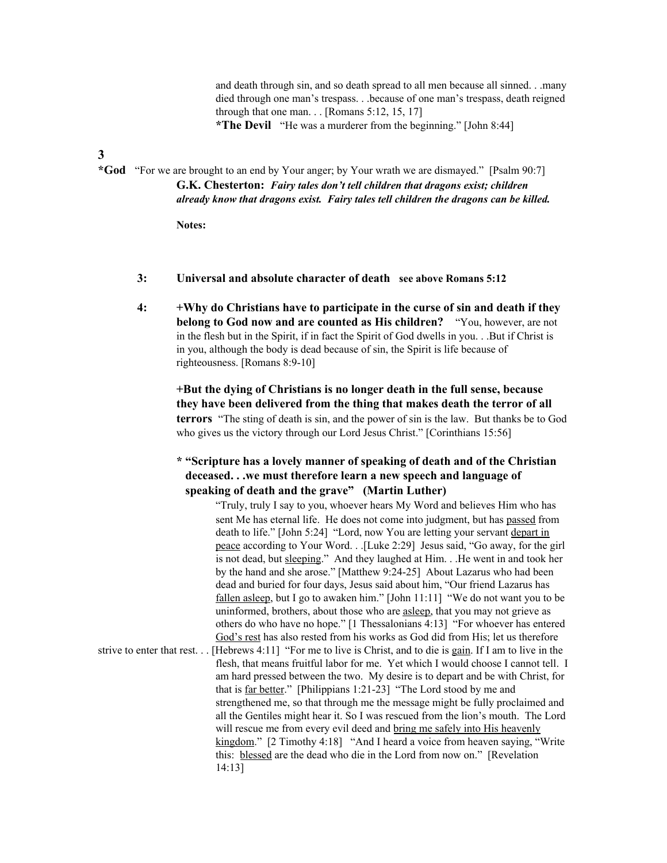and death through sin, and so death spread to all men because all sinned. . .many died through one man's trespass. . .because of one man's trespass, death reigned through that one man.  $\ldots$  [Romans 5:12, 15, 17] **\*The Devil** "He was a murderer from the beginning." [John 8:44]

**3**

**\*God** "For we are brought to an end by Your anger; by Your wrath we are dismayed." [Psalm 90:7] **G.K. Chesterton:** *Fairy tales don't tell children that dragons exist; children already know that dragons exist. Fairy tales tell children the dragons can be killed.*

**Notes:**

#### **3: Universal and absolute character of death see above Romans 5:12**

**4: +Why do Christians have to participate in the curse of sin and death if they belong to God now and are counted as His children?** "You, however, are not in the flesh but in the Spirit, if in fact the Spirit of God dwells in you. . .But if Christ is in you, although the body is dead because of sin, the Spirit is life because of righteousness. [Romans 8:9-10]

**+But the dying of Christians is no longer death in the full sense, because they have been delivered from the thing that makes death the terror of all terrors** "The sting of death is sin, and the power of sin is the law. But thanks be to God who gives us the victory through our Lord Jesus Christ." [Corinthians 15:56]

## **\* "Scripture has a lovely manner of speaking of death and of the Christian deceased. . .we must therefore learn a new speech and language of speaking of death and the grave" (Martin Luther)**

"Truly, truly I say to you, whoever hears My Word and believes Him who has sent Me has eternal life. He does not come into judgment, but has passed from death to life." [John 5:24] "Lord, now You are letting your servant depart in peace according to Your Word. . .[Luke 2:29] Jesus said, "Go away, for the girl is not dead, but sleeping." And they laughed at Him. . . He went in and took her by the hand and she arose." [Matthew 9:24-25] About Lazarus who had been dead and buried for four days, Jesus said about him, "Our friend Lazarus has fallen asleep, but I go to awaken him." [John 11:11] "We do not want you to be uninformed, brothers, about those who are asleep, that you may not grieve as others do who have no hope." [1 Thessalonians 4:13] "For whoever has entered God's rest has also rested from his works as God did from His; let us therefore strive to enter that rest. . . [Hebrews 4:11] "For me to live is Christ, and to die is gain. If I am to live in the flesh, that means fruitful labor for me. Yet which I would choose I cannot tell. I am hard pressed between the two. My desire is to depart and be with Christ, for that is far better." [Philippians 1:21-23] "The Lord stood by me and strengthened me, so that through me the message might be fully proclaimed and all the Gentiles might hear it. So I was rescued from the lion's mouth. The Lord will rescue me from every evil deed and bring me safely into His heavenly kingdom." [2 Timothy 4:18] "And I heard a voice from heaven saying, "Write" this: blessed are the dead who die in the Lord from now on." [Revelation 14:13]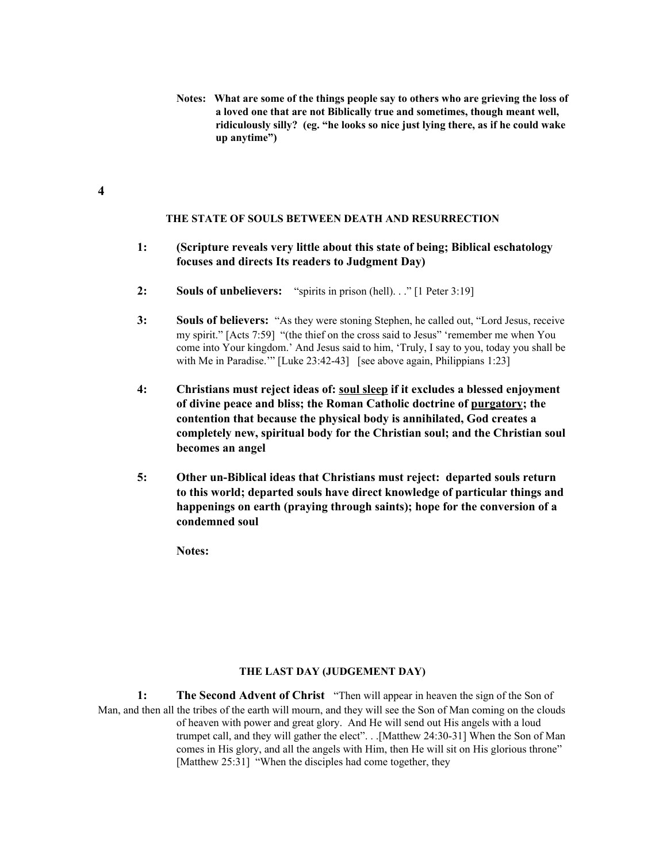**Notes: What are some of the things people say to others who are grieving the loss of a loved one that are not Biblically true and sometimes, though meant well, ridiculously silly? (eg. "he looks so nice just lying there, as if he could wake up anytime")**

#### **4**

#### **THE STATE OF SOULS BETWEEN DEATH AND RESURRECTION**

- **1: (Scripture reveals very little about this state of being; Biblical eschatology focuses and directs Its readers to Judgment Day)**
- **2: Souls of unbelievers:** "spirits in prison (hell). . ." [1 Peter 3:19]
- **3: Souls of believers:** "As they were stoning Stephen, he called out, "Lord Jesus, receive my spirit." [Acts 7:59] "(the thief on the cross said to Jesus" 'remember me when You come into Your kingdom.' And Jesus said to him, 'Truly, I say to you, today you shall be with Me in Paradise." [Luke 23:42-43] [see above again, Philippians 1:23]
- **4: Christians must reject ideas of: soul sleep if it excludes a blessed enjoyment of divine peace and bliss; the Roman Catholic doctrine of purgatory; the contention that because the physical body is annihilated, God creates a completely new, spiritual body for the Christian soul; and the Christian soul becomes an angel**
- **5: Other un-Biblical ideas that Christians must reject: departed souls return to this world; departed souls have direct knowledge of particular things and happenings on earth (praying through saints); hope for the conversion of a condemned soul**

**Notes:**

#### **THE LAST DAY (JUDGEMENT DAY)**

**1: The Second Advent of Christ** "Then will appear in heaven the sign of the Son of Man, and then all the tribes of the earth will mourn, and they will see the Son of Man coming on the clouds of heaven with power and great glory. And He will send out His angels with a loud trumpet call, and they will gather the elect". . .[Matthew 24:30-31] When the Son of Man comes in His glory, and all the angels with Him, then He will sit on His glorious throne" [Matthew 25:31] "When the disciples had come together, they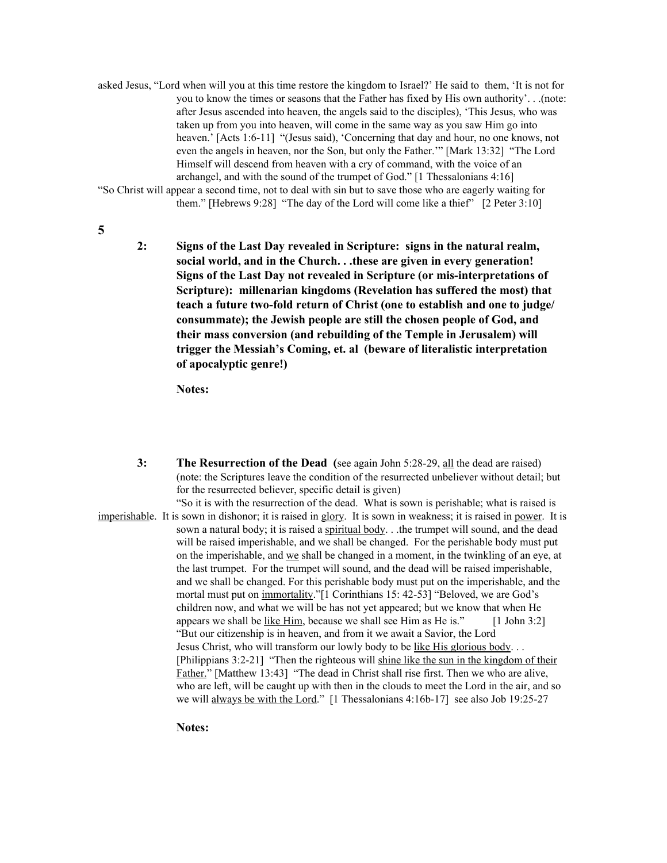asked Jesus, "Lord when will you at this time restore the kingdom to Israel?' He said to them, 'It is not for you to know the times or seasons that the Father has fixed by His own authority'. . .(note: after Jesus ascended into heaven, the angels said to the disciples), 'This Jesus, who was taken up from you into heaven, will come in the same way as you saw Him go into heaven.' [Acts 1:6-11] "(Jesus said), 'Concerning that day and hour, no one knows, not even the angels in heaven, nor the Son, but only the Father.'" [Mark 13:32] "The Lord Himself will descend from heaven with a cry of command, with the voice of an archangel, and with the sound of the trumpet of God." [1 Thessalonians 4:16]

"So Christ will appear a second time, not to deal with sin but to save those who are eagerly waiting for them." [Hebrews 9:28] "The day of the Lord will come like a thief" [2 Peter 3:10]

**5**

**2: Signs of the Last Day revealed in Scripture: signs in the natural realm, social world, and in the Church. . .these are given in every generation! Signs of the Last Day not revealed in Scripture (or mis-interpretations of Scripture): millenarian kingdoms (Revelation has suffered the most) that teach a future two-fold return of Christ (one to establish and one to judge/ consummate); the Jewish people are still the chosen people of God, and their mass conversion (and rebuilding of the Temple in Jerusalem) will trigger the Messiah's Coming, et. al (beware of literalistic interpretation of apocalyptic genre!)**

**Notes:**

**3: The Resurrection of the Dead (**see again John 5:28-29, all the dead are raised) (note: the Scriptures leave the condition of the resurrected unbeliever without detail; but for the resurrected believer, specific detail is given)

"So it is with the resurrection of the dead. What is sown is perishable; what is raised is imperishable. It is sown in dishonor; it is raised in glory. It is sown in weakness; it is raised in power. It is sown a natural body; it is raised a spiritual body. . .the trumpet will sound, and the dead will be raised imperishable, and we shall be changed. For the perishable body must put on the imperishable, and we shall be changed in a moment, in the twinkling of an eye, at the last trumpet. For the trumpet will sound, and the dead will be raised imperishable, and we shall be changed. For this perishable body must put on the imperishable, and the mortal must put on immortality."[1 Corinthians 15: 42-53] "Beloved, we are God's children now, and what we will be has not yet appeared; but we know that when He appears we shall be like Him, because we shall see Him as He is." [1 John 3:2] "But our citizenship is in heaven, and from it we await a Savior, the Lord Jesus Christ, who will transform our lowly body to be like His glorious body. . . [Philippians 3:2-21] "Then the righteous will shine like the sun in the kingdom of their Father." [Matthew 13:43] "The dead in Christ shall rise first. Then we who are alive, who are left, will be caught up with then in the clouds to meet the Lord in the air, and so we will always be with the Lord." [1 Thessalonians 4:16b-17] see also Job 19:25-27

**Notes:**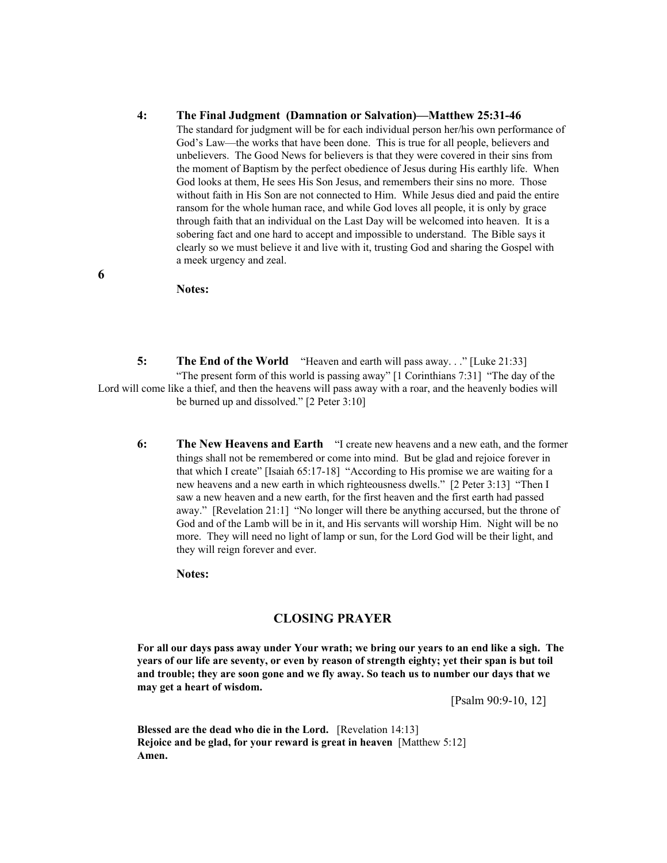#### **4: The Final Judgment (Damnation or Salvation)—Matthew 25:31-46**

The standard for judgment will be for each individual person her/his own performance of God's Law—the works that have been done. This is true for all people, believers and unbelievers. The Good News for believers is that they were covered in their sins from the moment of Baptism by the perfect obedience of Jesus during His earthly life. When God looks at them, He sees His Son Jesus, and remembers their sins no more. Those without faith in His Son are not connected to Him. While Jesus died and paid the entire ransom for the whole human race, and while God loves all people, it is only by grace through faith that an individual on the Last Day will be welcomed into heaven. It is a sobering fact and one hard to accept and impossible to understand. The Bible says it clearly so we must believe it and live with it, trusting God and sharing the Gospel with a meek urgency and zeal.

**6**

#### **Notes:**

**5: The End of the World** "Heaven and earth will pass away. . ." [Luke 21:33] "The present form of this world is passing away" [1 Corinthians 7:31] "The day of the Lord will come like a thief, and then the heavens will pass away with a roar, and the heavenly bodies will be burned up and dissolved." [2 Peter 3:10]

**6: The New Heavens and Earth** "I create new heavens and a new eath, and the former things shall not be remembered or come into mind. But be glad and rejoice forever in that which I create" [Isaiah 65:17-18] "According to His promise we are waiting for a new heavens and a new earth in which righteousness dwells." [2 Peter 3:13] "Then I saw a new heaven and a new earth, for the first heaven and the first earth had passed away." [Revelation 21:1] "No longer will there be anything accursed, but the throne of God and of the Lamb will be in it, and His servants will worship Him. Night will be no more. They will need no light of lamp or sun, for the Lord God will be their light, and they will reign forever and ever.

**Notes:**

### **CLOSING PRAYER**

For all our days pass away under Your wrath; we bring our years to an end like a sigh. The years of our life are seventy, or even by reason of strength eighty; yet their span is but toil **and trouble; they are soon gone and we fly away. So teach us to number our days that we may get a heart of wisdom.**

[Psalm 90:9-10, 12]

**Blessed are the dead who die in the Lord.** [Revelation 14:13] **Rejoice and be glad, for your reward is great in heaven** [Matthew 5:12] **Amen.**